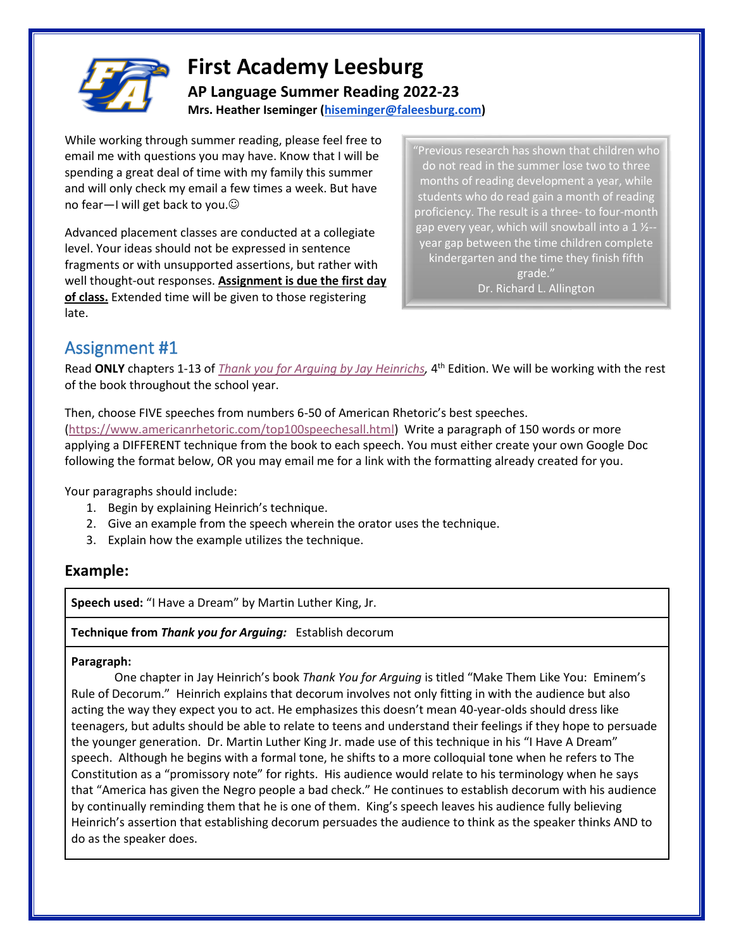

## **First Academy Leesburg AP Language Summer Reading 2022-23 Mrs. Heather Iseminger [\(hiseminger@faleesburg.com\)](mailto:hiseminger@faleesburg.com)**

While working through summer reading, please feel free to email me with questions you may have. Know that I will be spending a great deal of time with my family this summer and will only check my email a few times a week. But have no fear-I will get back to you.

Advanced placement classes are conducted at a collegiate level. Your ideas should not be expressed in sentence fragments or with unsupported assertions, but rather with well thought-out responses. **Assignment is due the first day of class.** Extended time will be given to those registering late.

"Previous research has shown that children who do not read in the summer lose two to three months of reading development a year, while students who do read gain a month of reading proficiency. The result is a three- to four-month gap every year, which will snowball into a 1 1/2year gap between the time children complete kindergarten and the time they finish fifth grade."

Dr. Richard L. Allington

# Assignment #1

Read **ONLY** chapters 1-13 of *[Thank you for Arguing by Jay Heinrichs,](https://www.amazon.com/Thank-Arguing-Fourth-Revised-Updated-ebook/dp/B084V8N7Q4/ref=sr_1_2?crid=2I4ZMBLPE2QKF&dchild=1&keywords=thank+you+for+arguing+3rd+edition&qid=1620739173&sprefix=thank+you+for+arguing%2Caps%2C205&sr=8-2)* 4 th Edition. We will be working with the rest of the book throughout the school year.

Then, choose FIVE speeches from numbers 6-50 of American Rhetoric's best speeches. [\(https://www.americanrhetoric.com/top100speechesall.html\)](https://www.americanrhetoric.com/top100speechesall.html) Write a paragraph of 150 words or more applying a DIFFERENT technique from the book to each speech. You must either create your own Google Doc following the format below, OR you may email me for a link with the formatting already created for you.

Your paragraphs should include:

- 1. Begin by explaining Heinrich's technique.
- 2. Give an example from the speech wherein the orator uses the technique.
- 3. Explain how the example utilizes the technique.

### **Example:**

**Speech used:** "I Have a Dream" by Martin Luther King, Jr.

**Technique from** *Thank you for Arguing:* Establish decorum

#### **Paragraph:**

One chapter in Jay Heinrich's book *Thank You for Arguing* is titled "Make Them Like You: Eminem's Rule of Decorum." Heinrich explains that decorum involves not only fitting in with the audience but also acting the way they expect you to act. He emphasizes this doesn't mean 40-year-olds should dress like teenagers, but adults should be able to relate to teens and understand their feelings if they hope to persuade the younger generation. Dr. Martin Luther King Jr. made use of this technique in his "I Have A Dream" speech. Although he begins with a formal tone, he shifts to a more colloquial tone when he refers to The Constitution as a "promissory note" for rights. His audience would relate to his terminology when he says that "America has given the Negro people a bad check." He continues to establish decorum with his audience by continually reminding them that he is one of them. King's speech leaves his audience fully believing Heinrich's assertion that establishing decorum persuades the audience to think as the speaker thinks AND to do as the speaker does.